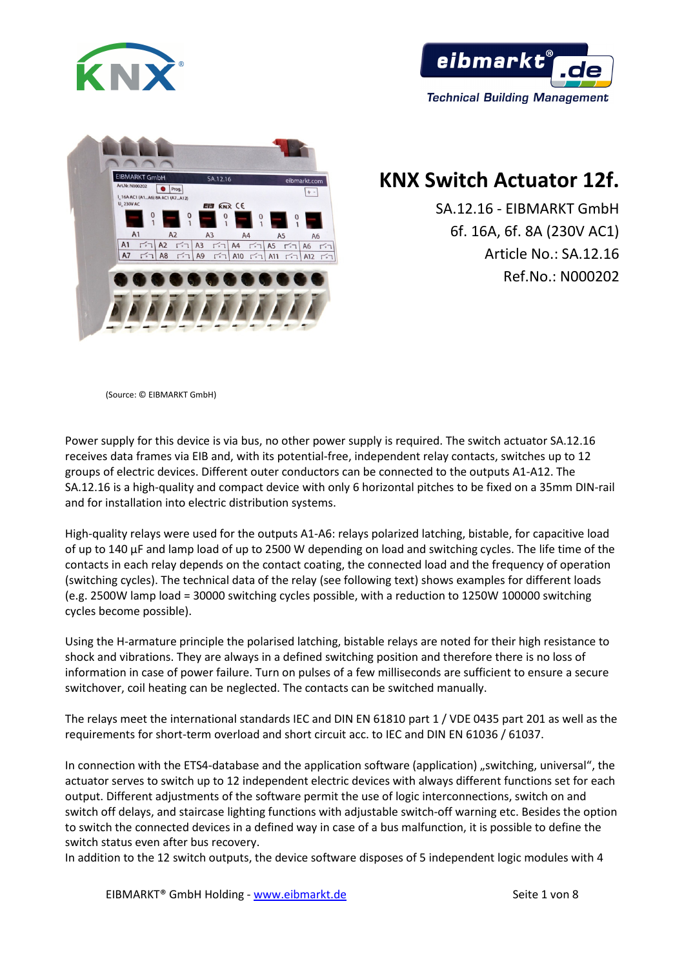





# **KNX Switch Actuator 12f.**

SA.12.16 - EIBMARKT GmbH 6f. 16A, 6f. 8A (230V AC1) Article No.: SA.12.16 Ref.No.: N000202

(Source: © EIBMARKT GmbH)

Power supply for this device is via bus, no other power supply is required. The switch actuator SA.12.16 receives data frames via EIB and, with its potential-free, independent relay contacts, switches up to 12 groups of electric devices. Different outer conductors can be connected to the outputs A1-A12. The SA.12.16 is a high-quality and compact device with only 6 horizontal pitches to be fixed on a 35mm DIN-rail and for installation into electric distribution systems.

High-quality relays were used for the outputs A1-A6: relays polarized latching, bistable, for capacitive load of up to 140 μF and lamp load of up to 2500 W depending on load and switching cycles. The life time of the contacts in each relay depends on the contact coating, the connected load and the frequency of operation (switching cycles). The technical data of the relay (see following text) shows examples for different loads (e.g. 2500W lamp load = 30000 switching cycles possible, with a reduction to 1250W 100000 switching cycles become possible).

Using the H-armature principle the polarised latching, bistable relays are noted for their high resistance to shock and vibrations. They are always in a defined switching position and therefore there is no loss of information in case of power failure. Turn on pulses of a few milliseconds are sufficient to ensure a secure switchover, coil heating can be neglected. The contacts can be switched manually.

The relays meet the international standards IEC and DIN EN 61810 part 1 / VDE 0435 part 201 as well as the requirements for short-term overload and short circuit acc. to IEC and DIN EN 61036 / 61037.

In connection with the ETS4-database and the application software (application) "switching, universal", the actuator serves to switch up to 12 independent electric devices with always different functions set for each output. Different adjustments of the software permit the use of logic interconnections, switch on and switch off delays, and staircase lighting functions with adjustable switch-off warning etc. Besides the option to switch the connected devices in a defined way in case of a bus malfunction, it is possible to define the switch status even after bus recovery.

In addition to the 12 switch outputs, the device software disposes of 5 independent logic modules with 4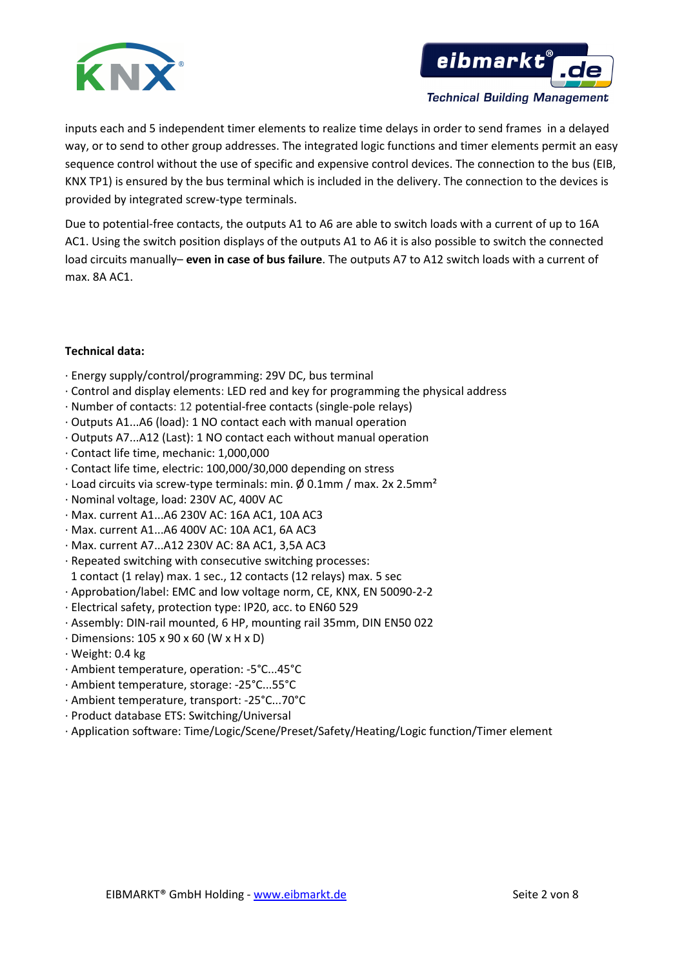



inputs each and 5 independent timer elements to realize time delays in order to send frames in a delayed way, or to send to other group addresses. The integrated logic functions and timer elements permit an easy sequence control without the use of specific and expensive control devices. The connection to the bus (EIB, KNX TP1) is ensured by the bus terminal which is included in the delivery. The connection to the devices is provided by integrated screw-type terminals.

Due to potential-free contacts, the outputs A1 to A6 are able to switch loads with a current of up to 16A AC1. Using the switch position displays of the outputs A1 to A6 it is also possible to switch the connected load circuits manually– **even in case of bus failure**. The outputs A7 to A12 switch loads with a current of max. 8A AC1.

# **Technical data:**

- · Energy supply/control/programming: 29V DC, bus terminal
- · Control and display elements: LED red and key for programming the physical address
- · Number of contacts: 12 potential-free contacts (single-pole relays)
- · Outputs A1...A6 (load): 1 NO contact each with manual operation
- · Outputs A7...A12 (Last): 1 NO contact each without manual operation
- · Contact life time, mechanic: 1,000,000
- · Contact life time, electric: 100,000/30,000 depending on stress
- · Load circuits via screw-type terminals: min. Ø 0.1mm / max. 2x 2.5mm²
- · Nominal voltage, load: 230V AC, 400V AC
- · Max. current A1...A6 230V AC: 16A AC1, 10A AC3
- · Max. current A1...A6 400V AC: 10A AC1, 6A AC3
- · Max. current A7...A12 230V AC: 8A AC1, 3,5A AC3
- · Repeated switching with consecutive switching processes: 1 contact (1 relay) max. 1 sec., 12 contacts (12 relays) max. 5 sec
- · Approbation/label: EMC and low voltage norm, CE, KNX, EN 50090-2-2
- · Electrical safety, protection type: IP20, acc. to EN60 529
- · Assembly: DIN-rail mounted, 6 HP, mounting rail 35mm, DIN EN50 022
- · Dimensions: 105 x 90 x 60 (W x H x D)
- · Weight: 0.4 kg
- · Ambient temperature, operation: -5°C...45°C
- · Ambient temperature, storage: -25°C...55°C
- · Ambient temperature, transport: -25°C...70°C
- · Product database ETS: Switching/Universal
- · Application software: Time/Logic/Scene/Preset/Safety/Heating/Logic function/Timer element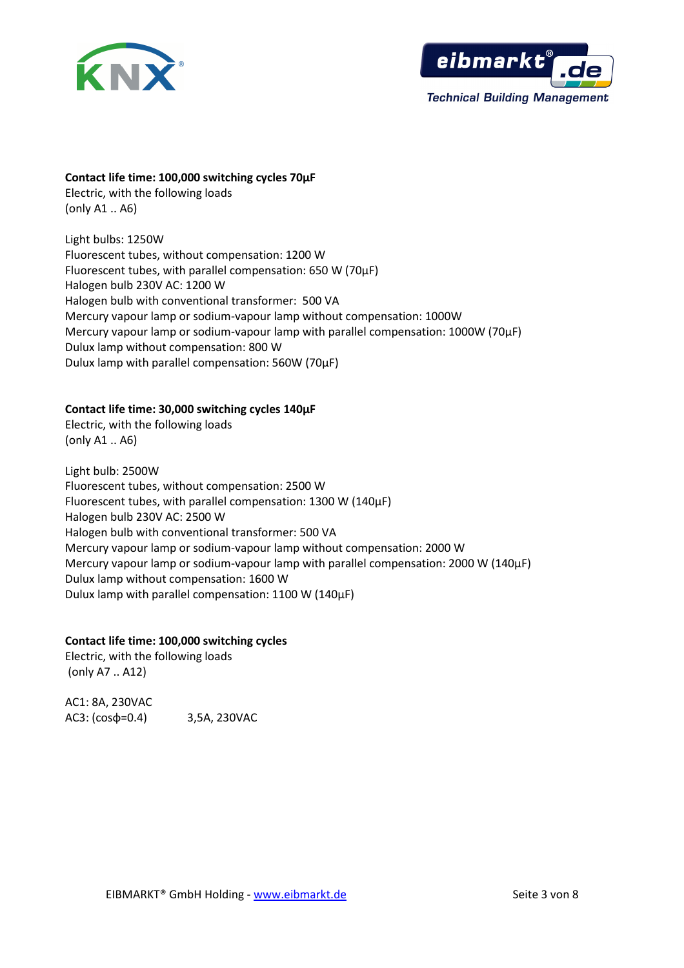



### **Contact life time: 100,000 switching cycles 70µF**

Electric, with the following loads (only A1 .. A6)

Light bulbs: 1250W Fluorescent tubes, without compensation: 1200 W Fluorescent tubes, with parallel compensation: 650 W (70µF) Halogen bulb 230V AC: 1200 W Halogen bulb with conventional transformer: 500 VA Mercury vapour lamp or sodium-vapour lamp without compensation: 1000W Mercury vapour lamp or sodium-vapour lamp with parallel compensation: 1000W (70µF) Dulux lamp without compensation: 800 W Dulux lamp with parallel compensation: 560W (70µF)

# **Contact life time: 30,000 switching cycles 140µF**

Electric, with the following loads (only A1 .. A6)

Light bulb: 2500W Fluorescent tubes, without compensation: 2500 W Fluorescent tubes, with parallel compensation: 1300 W (140µF) Halogen bulb 230V AC: 2500 W Halogen bulb with conventional transformer: 500 VA Mercury vapour lamp or sodium-vapour lamp without compensation: 2000 W Mercury vapour lamp or sodium-vapour lamp with parallel compensation: 2000 W (140µF) Dulux lamp without compensation: 1600 W Dulux lamp with parallel compensation: 1100 W (140µF)

# **Contact life time: 100,000 switching cycles**

Electric, with the following loads (only A7 .. A12)

AC1: 8A, 230VAC AC3: (cosφ=0.4) 3,5A, 230VAC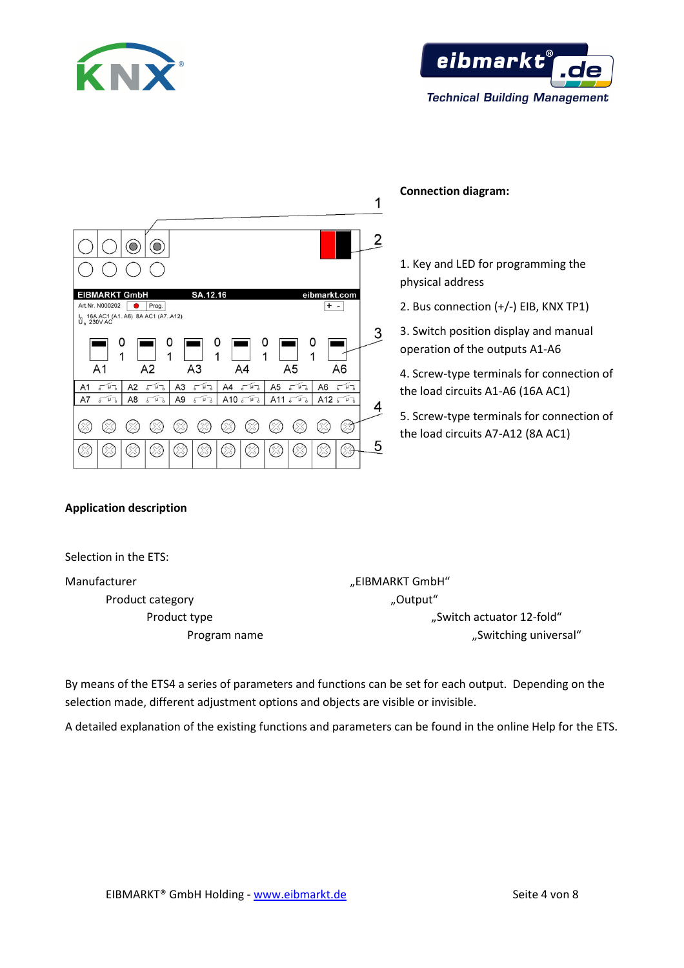



| 2<br>$\subset$<br>SA.12.16<br><b>EIBMARKT GmbH</b><br>eibmarkt.com<br>Art.Nr. N000202<br>$+ -$<br>Prog.<br>I <sub>n</sub> 16A AC1 (A1A6) 8A AC1 (A7A12)<br>U <sub>n</sub> 230V AC<br>3<br>0<br>0<br>0<br>Ω<br>0<br>1<br>1<br>1<br>1<br>1<br>A2<br>A <sub>3</sub><br>A <sub>5</sub><br>A <sub>1</sub><br>A6<br>A4<br>A3<br>A <sub>2</sub><br>A <sub>5</sub><br>A <sub>6</sub><br>$\mu$ $\overline{a}$<br>$\mu$ <sup>2</sup><br>$\sqrt{\mu}$<br>A <sub>1</sub><br>$\sqrt{\mu}$<br>$\sqrt{\mu}$<br>A4<br>$\sqrt{\mu}$<br>Г<br>Г<br>Г<br>Г<br>Г<br>Г<br>A12 $s$<br>A7<br>A8<br>A9<br>A10 $s$<br>A11<br>$\sqrt{4}$<br>$\mu$ <sub>d</sub><br>$\mu$ <sup>2</sup><br>$\sqrt{4}$<br>$\sqrt{4}$<br>$\mu$ $\rightarrow$<br>$\sqrt{\phantom{a}}$<br>Б<br>5<br>Г |
|-----------------------------------------------------------------------------------------------------------------------------------------------------------------------------------------------------------------------------------------------------------------------------------------------------------------------------------------------------------------------------------------------------------------------------------------------------------------------------------------------------------------------------------------------------------------------------------------------------------------------------------------------------------------------------------------------------------------------------------------------------|
|                                                                                                                                                                                                                                                                                                                                                                                                                                                                                                                                                                                                                                                                                                                                                     |
|                                                                                                                                                                                                                                                                                                                                                                                                                                                                                                                                                                                                                                                                                                                                                     |
|                                                                                                                                                                                                                                                                                                                                                                                                                                                                                                                                                                                                                                                                                                                                                     |
|                                                                                                                                                                                                                                                                                                                                                                                                                                                                                                                                                                                                                                                                                                                                                     |
|                                                                                                                                                                                                                                                                                                                                                                                                                                                                                                                                                                                                                                                                                                                                                     |
|                                                                                                                                                                                                                                                                                                                                                                                                                                                                                                                                                                                                                                                                                                                                                     |
|                                                                                                                                                                                                                                                                                                                                                                                                                                                                                                                                                                                                                                                                                                                                                     |
| 5                                                                                                                                                                                                                                                                                                                                                                                                                                                                                                                                                                                                                                                                                                                                                   |

**Connection diagram:**

 $\overline{1}$ 

1. Key and LED for programming the physical address

2. Bus connection (+/-) EIB, KNX TP1)

3. Switch position display and manual operation of the outputs A1-A6

4. Screw-type terminals for connection of the load circuits A1-A6 (16A AC1)

5. Screw-type terminals for connection of the load circuits A7-A12 (8A AC1)

#### **Application description**

Selection in the ETS:

Product category The Contract of the Contract of Contract of The Contract of The Contract of The Contract of T

Manufacturer "EIBMARKT GmbH" Product type  $\blacksquare$  Switch actuator 12-fold  $\blacksquare$ Program name "Switching universal"

By means of the ETS4 a series of parameters and functions can be set for each output. Depending on the selection made, different adjustment options and objects are visible or invisible.

A detailed explanation of the existing functions and parameters can be found in the online Help for the ETS.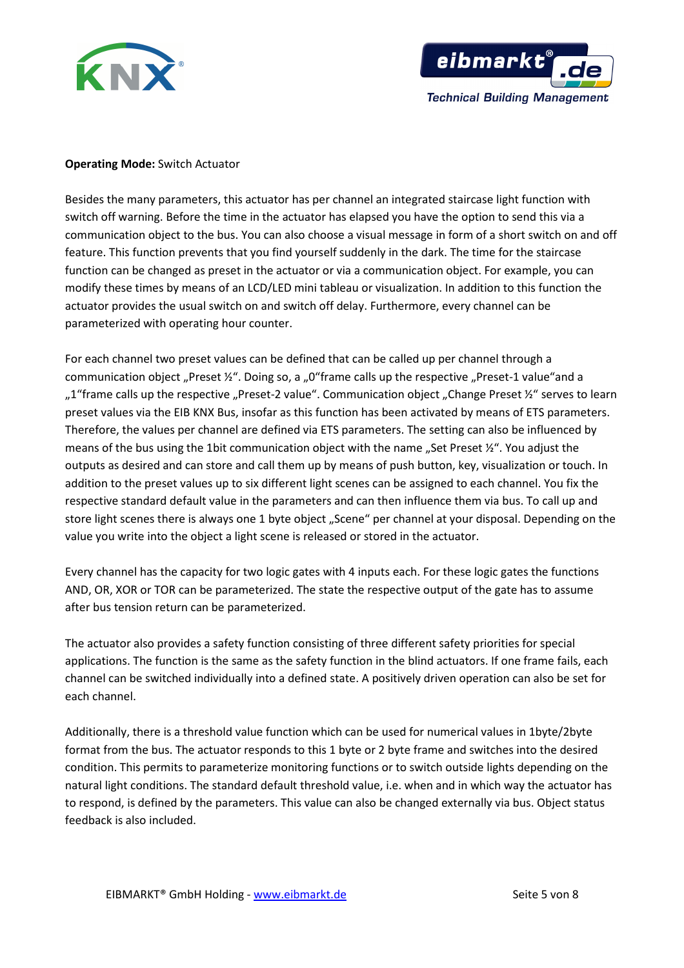



# **Operating Mode:** Switch Actuator

Besides the many parameters, this actuator has per channel an integrated staircase light function with switch off warning. Before the time in the actuator has elapsed you have the option to send this via a communication object to the bus. You can also choose a visual message in form of a short switch on and off feature. This function prevents that you find yourself suddenly in the dark. The time for the staircase function can be changed as preset in the actuator or via a communication object. For example, you can modify these times by means of an LCD/LED mini tableau or visualization. In addition to this function the actuator provides the usual switch on and switch off delay. Furthermore, every channel can be parameterized with operating hour counter.

For each channel two preset values can be defined that can be called up per channel through a communication object "Preset  $\frac{y}{r}$ . Doing so, a "0"frame calls up the respective "Preset-1 value"and a "1"frame calls up the respective "Preset-2 value". Communication object "Change Preset ½" serves to learn preset values via the EIB KNX Bus, insofar as this function has been activated by means of ETS parameters. Therefore, the values per channel are defined via ETS parameters. The setting can also be influenced by means of the bus using the 1bit communication object with the name ..Set Preset ½". You adjust the outputs as desired and can store and call them up by means of push button, key, visualization or touch. In addition to the preset values up to six different light scenes can be assigned to each channel. You fix the respective standard default value in the parameters and can then influence them via bus. To call up and store light scenes there is always one 1 byte object "Scene" per channel at your disposal. Depending on the value you write into the object a light scene is released or stored in the actuator.

Every channel has the capacity for two logic gates with 4 inputs each. For these logic gates the functions AND, OR, XOR or TOR can be parameterized. The state the respective output of the gate has to assume after bus tension return can be parameterized.

The actuator also provides a safety function consisting of three different safety priorities for special applications. The function is the same as the safety function in the blind actuators. If one frame fails, each channel can be switched individually into a defined state. A positively driven operation can also be set for each channel.

Additionally, there is a threshold value function which can be used for numerical values in 1byte/2byte format from the bus. The actuator responds to this 1 byte or 2 byte frame and switches into the desired condition. This permits to parameterize monitoring functions or to switch outside lights depending on the natural light conditions. The standard default threshold value, i.e. when and in which way the actuator has to respond, is defined by the parameters. This value can also be changed externally via bus. Object status feedback is also included.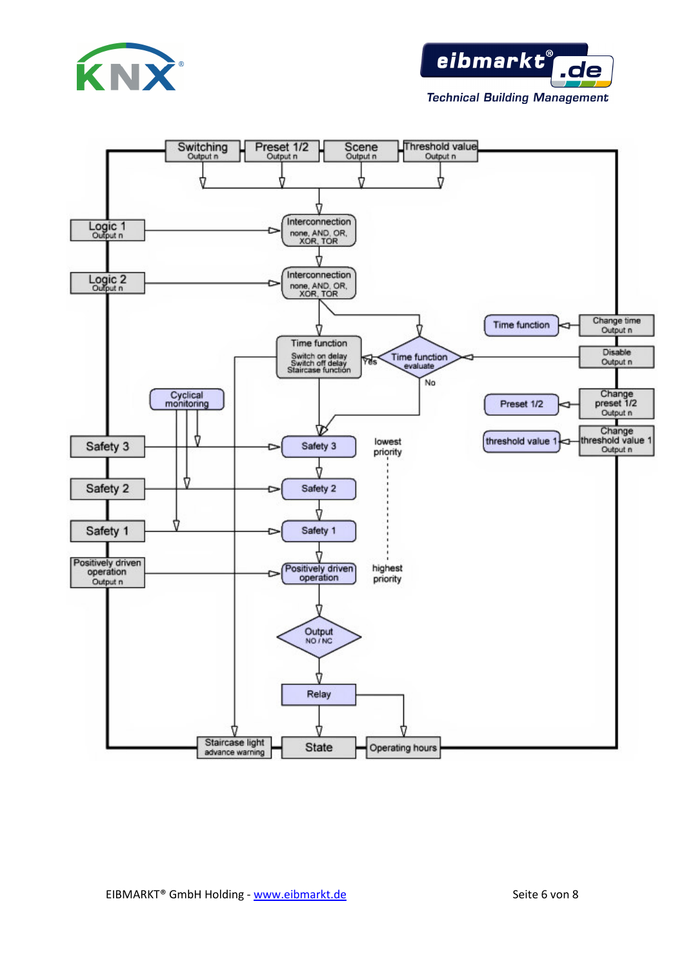



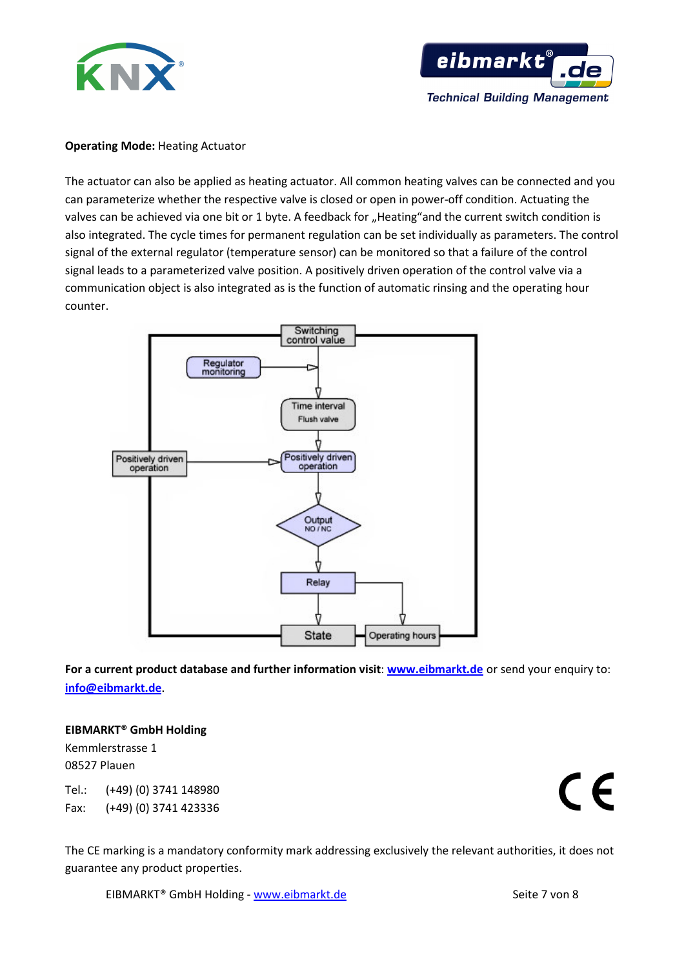



### **Operating Mode: Heating Actuator**

The actuator can also be applied as heating actuator. All common heating valves can be connected and you can parameterize whether the respective valve is closed or open in power-off condition. Actuating the valves can be achieved via one bit or 1 byte. A feedback for "Heating"and the current switch condition is also integrated. The cycle times for permanent regulation can be set individually as parameters. The control signal of the external regulator (temperature sensor) can be monitored so that a failure of the control signal leads to a parameterized valve position. A positively driven operation of the control valve via a communication object is also integrated as is the function of automatic rinsing and the operating hour counter.



**For a current product database and further information visit**: **www.eibmarkt.de** or send your enquiry to: **info@eibmarkt.de**.

# **EIBMARKT® GmbH Holding**

Kemmlerstrasse 1 08527 Plauen

Tel.: (+49) (0) 3741 148980 Fax: (+49) (0) 3741 423336  $\epsilon$ 

The CE marking is a mandatory conformity mark addressing exclusively the relevant authorities, it does not guarantee any product properties.

EIBMARKT<sup>®</sup> GmbH Holding - www.eibmarkt.de Seite 7 von 8